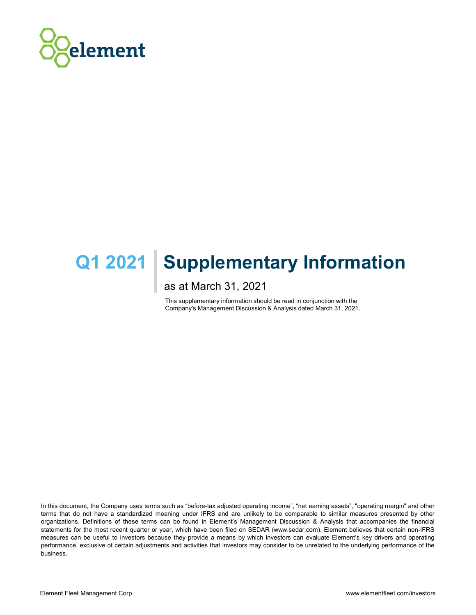

# Q1 2021 | Supplementary Information **Supplementary Information**<br>as at March 31, 2021<br>This supplementary information should be read in conjunction with the<br>Company's Management Discussion & Analysis dated March 31, 2021.

as at March 31, 2021

This supplementary information should be read in conjunction with the

In this document, the Company uses terms such as "before-tax adjusted operating income", "net earning assets", "operating margin" and other terms that do not have a standardized meaning under IFRS and are unlikely to be comparable to similar measures presented by other organizations. Definitions of these terms can be found in Element's Management Discussion & Analysis that accompanies the financial statements for the most recent quarter or year, which have been filed on SEDAR (www.sedar.com). Element believes that certain non-IFRS measures can be useful to investors because they provide a means by which investors can evaluate Element's key drivers and operating performance, exclusive of certain adjustments and activities that investors may consider to be unrelated to the underlying performance of the business.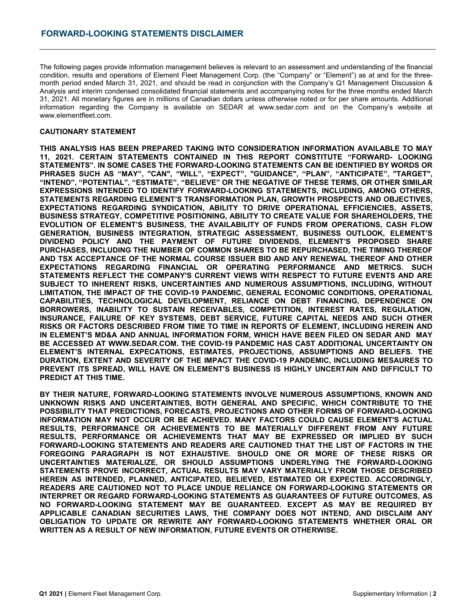FORWARD-LOOKING STATEMENTS DISCLAIMER<br>The following pages provide information management believes is relevant to an assessment and understanding of the financial<br>condition, results and operations of Element Fleet Managemen FORWARD-LOOKING STATEMENTS DISCLAIMER<br>
The following pages provide information management believes is relevant to an assessment and understanding of the financial<br>
condition, results and operations of Element Fleet Managem FORWARD-LOOKING STATEMENTS DISCLAIMER<br>The following pages provide information management believes is relevant to an assessment and understanding of the financial<br>condition, results and operations of Element Fieet Managemen FORWARD-LOOKING STATEMENTS DISCLAIMER<br>
The following pages provide information management believes is relevant to an assessment and understanding of the financial<br>
condition, results and operations of Element Fieet Managem **FORWARD-LOOKING STATEMENTS DISCLAIMER**<br>
The following pages provide information management believes is relevant to an assessment and understanding of the financial<br>
condition, results and operations of Element Fleet Manag FORWARD-LOOKING STATEMENTS DISCLAIMER<br>
The following pages provide information management believes is relevant to an assessment and understanding of the financial<br>
month period end deventions of Element Fieet Management Co www.elementfleet.com. FORWARD-LOOKING STATEMENTS DISCLAIMER<br>
The following pages provide information management believes is relevant to an assessment and<br>
condition, results and operations of Element Fielt Management Corp. (the "Company" or "El FORWARD-LOOKING STATEMENTS DISCLAIMER<br>The following pages provide information management believes is relevant to an assessment and understanding of the financial<br>condition, results and operations of Element Field Managemen

**FORWARD-LOOKING STATEMENTS DISCLAIMER**<br>
The following pages provide information management believes is relevant to an assessment and understanding of the financial<br>
condition, results and operations of Element Fleet Manag FORWARD-LOOKING STATEMENTS DISCLAIMER<br>
The following pages provide information management believes is relevant to an assessment and understanding of the financial<br>
condition, results and operators of Element Field Manageme **FORWARD-LOOKING STATEMENTS DISCLAIMER**<br>
The following pages provide information management believes is relevant to an assessment and understanding of the financial<br>
Coordition, results and operations of Element Field Mana FORWARD-LOOKING STATEMENTS DISCLAIMER<br>
The following pages provide information management believes is relevant to an assessment and understanding of the financial<br>
condition, results and operations of Element Field Managem FORWARD-LOOKING STATEMENTS DISCLAIMER<br>
The following pages provide information management believes is relevant to an assessment and understanding of the financial<br>
condition, results and operations of Element Fleet Managem FORWARD-LOOKING STATEMENTS DISCLAIMER<br>
The following pages provide information management believes is relevant to an assessment and understanding of the financial<br>
month period ended March 31, 2021, and should be read in c FORWARD-LOOKING STATEMENTS DISCLAIMER<br>
The following pages provide information management believes is relevant to an assessment and understanding of the financial<br>
condition, mealls and ones also as Chemical Teles Mensenen FORWARD-LOOKING STATEMENTS DISCLAIMER<br>The following pages provide information management believes is relevant to an assessment and understanding of the financial<br>month reside and detection of Element Rest Management Corp. FORWARD-LOOKING STATEMENTS DISCLAIMER<br>
The following pages provide information menagement believes is relevant to an assessment and understanding of the financial<br>
The following pages provide information menagement believe FORWARD-LOOKING STATEMENTS DISCLAIMER<br>
The following pages provide information management believes is relevant to an assessment and understanding of the financial<br>
condition, result and operators of Element Field Managemen The following pages provide information management believes is relevant to an assessment and understanding of the financial<br>condition, results and operators of Element Field Management Copy, the "Company" of the financial<br> The following pages provide information management believes is relevant to an assessment and understanding of the financial<br>condition, results and operatons of Element Field Management Corp. (the "Company" of "Element") as The following pages provide information management believes is relevant to an assessment and understanding of the fine-condition, results and operator of Element Courses of the Theoretic as a tard for the filter-<br>month per The following pages provide information management believes is relevant to an assessment and understanding of the financial orientation and the following pages in the following the state in the company is an about the comp condition, results and operations of Element Field Management Corp. (the "Company's "Element") as at and for the free-<br>Analysis and information consideration of the company of the company of Management Discussion &<br>Shaps a month performance of the temperature of the polynomial on the Company's of Management Discussion & Consultation<br>Analysis and internet figures are in millions of Canadian dolars unies otherwise role of to per share amounts, LIMITATION, THE IMPACT OF THE COVID-19 PANDEMIC, GENERAL ECONOMIC CONDITIONS, OPERATIONAL 31. 2021. MITORETAINT THE REAL PROPERTION CONSIDERATION INTO THE COMPANY STATEMER IN WEIGHT AND DREAD CONSIDERATION (INCREASE TO MAY alternation of the Company) website at www.seduction and on the Company) website at www.s IMORDINO PROGRIM THE MINIT STATISTIC CONSIDERATION INFORMATION AVAILABLE TO MAY<br>THIS ANALYSIS HAS BEEN PREPARED TAKING INTO CONSIDERATION INFORMATION AVAILABLE TO MAY<br>THIS ANALYSIS HAS BEEN PREPARED TAKING INTO CONSIDERATI WWW SURRENTIES CONTROL THE CONFERN CONTROL (STREAT TO FUTURE CAPITAL DESTRATION AND THE STATEMENTS CONTROL THIS REPORT CONTROL TO THE REPORT CONTROL TO THE REPORT CONTROL TO THE REPORT CONTROL TO THE REPORT CONTROL TO THE CAUTIONARY STATEMENT<br>THIS ANALYSIS HAS BEEN PREPARED TAKING INTO CONSIDERATION INFORMATION AVAILABLE TO MAY<br>THIS ANALYSIS HAS BEEN PREPARED TAKING INTO CONSIDERATION INFORMATION "FORWARD-LOOKING<br>TITLEMENTS". IN SOME CASES CHUIGHANT IS THE THING THE HUMBER ON CONSIDERATION INFORMATION AVAILABLE TO MAY<br>11.2021 CERTAIN STATEMENTS CONTAINED IN THIS REPORT CONSITTUTE "FORWARD-LIGHT AND STATEMETS ON THE RET TARGET<br>"PIRASES SUCH AS "MAY", "CAN', " THIS ANALYSIS HAS REEN PREPARED TAKING INTO CONSIDERATION INCONSIDE ASSILIANCE TO MAY AND THE THE CORRECT INTO THE CORRECT INTO THE CONDUCT THE CORRECT INTO THE CORRECT INTO THE CONDUCT PHASES TO A THE CORRECT INTO THE COR THE TRIP INTERNAL EXPERIMENT TO CONTROL THE MANDEL THE TRIP INTERNAL TO THE REPORT OF THE REST TRANSPORT TO THE REAL THANGES SURVEY THANGES. THE REAL THANGES IN THE TRANSPORT INTERNAL THANGES TO DESCRIPTIONS AND THE REAL T STATEMENTS INTERNATION THE PROTHOUSE IN THE PROTEIN THE INTERNATION AND RELEASE THE INTERNATION (INCLUDING THE INTERNATION) THE THE INTERNATION THAT INTERNATION TO DETERMATION TO DETERMATION TO DETERMATION TO DETERMATION T PHARE TRIGGENT IN THE TIMING THE NUMERON THE COVID-19 PANDEMETH . WELL THE TIMING THE TIMING THE SPREAD STATEMENT IN THE TIMING A RECORDING THE TIMING THE SPREAD OOK ONE CORRESPONDING AND THE TIMING THE STATE CORRESPONDING FIRKASES SOOF AS WATE, I CAN'T, WILL, "EXPECTI, GOMANCE, I FLANCE RESERVERS SOOF ANYING STATEMENTS, RICULDING<br>THEREDICTS THERE TERMS, THE STIMATE", "BELIEVE" OR THE NEGATIVE OF THESE TERMS,<br>EXPRESISIONS INTENDED TO IDENTIF EXAMENDA RECEIVING THE TRANSFORMATION BANKER (SCANDING) AND RECEIVING STATEMENTS AND ARREST TRANSFORMATION (INCONDUCTING THE EVALUATION OF ELEMENTS STATEMENTS IN EVALUATION OF ELEMENTS IN THE PAYMENT OF CHANGE THE EVALUATI EVERTAINTIES, TECHNOLOGICAL DEVERTAINTES, AND DEVERTAINT ON DEVERTIONS ARE HARDEST AND THE EVERTAINT OF ELEMENTS BUSINESS. THE AND INTERFERENCE AND THE EVERTAINT OF ELEMENTS IN THE COULTRO CREAT THE CONTRIBUTE OF THE CONTR ENERGY AT THE DRESS THE MANDEM TO SUSTAIN RECEIVED TO BE MATERIAL OUTDROOT FINDS THE MANUEL THAT THE THAT THE CONDITIONS, THE MATER CONDITIONS, THE MATER OF THE TWO PROTECTIONS, FOR THE MATER OF THE TWO PROTECTIONS ARE CON **EXPRESSION CONTROL DESTRESSION (FRAMER)** CONTROL DE TRANSMERS OR THE ROOT CONTROL DESTRESSION MANY CONTROL DESTRESSION CONTROL DESTRESSION COULD AND THE PAPER CONTROL DESTRESSION COULD AND THE PAPER CONTROL DESTRESSION CO ECREENTATION: ELEMENTS SPECTIVE TRANSMENTS TO BE MATERIALLY DIRECT TO THE THROM AND TRIVING THE TRANSMET OR ACHIEVEN<br>PORTEROR ACCEPTANCE OF THE NORMAL COURSE ESSIMENTS. BELIEBATE PROCOCSED SHARE<br>AND TSX ACCEPTANCE OF THE N DENIGRAM CONTROL DEVELOPMENT TO COLOR DE ENTREPANT IN THE ENTREPANT ON THE TIME TO THE TRANSPORT ON THE RESULTS, INCLUDING THE RUNNER OR CONDUCT THE ENTREPANT ON THE TIME AND THE REAL THAT AND THE REAL THAT AND THE REAL TH DINATION EXTENT AND SEVERITY OF THE MPACT THE CONDININGLATION INCORRECT TO BE ANNEE CAN AREN'S AND ARE STATEMENTS AND ARE STATEMENTS AND MATEMATION INTERNAL CONDINING THAT THE THAT INCORRECT TO THE COMPANYS CURRENT YIEWS W MOD TO THE REAL TREPACTIONS PROTEINED TO BE ARTENDAMENT IN THE REST AND THE REAL TRANSFALL TO THE REAL TRANSFALL TO THE REAL TRANSFALL TO THE REAL TRANSFALL TO THE CONTRACT THE CONTRACT THE CONTRACT THE CONTRACT TO THE CON

EVERTAINT RESEARCT IN THE UNIVERSIAL CONFIGURATION CONFIGURATION (INTERFERTAINTS AND AGREEMENT TO INTERFERT TO THE COMPANY'S CURRENT TREVIAL TELEMETY IS AND MULTIMON WITHOUT AND SUTTING INTERFERT TO INTERFERT TO THE COMPAN STATEMENT TRE SPREAG, INCORRECT, ACTUAL RESULTS, AND MINITERE RESULTS IN THE WAY AND THE WAY AND TURNELLIMITES, THE CONTOUR CORRECT, ACTUAL INCORRECT, ACTUAL INCORRECT, AND INSURANCE ON INCORRECT AND INCORRECT AND INCORREC SIALEET TO RELEGEAT TRESS. THE RATURE AND SEVERAL ESTIMATED AND THE LIGENTIFY ON A MINOR DETAILLES. THE MANAGER OR ANNOUNCED AND CONDITIONS INTERNER IN CONDUCTING TO THE ENGERAL ECONDOMIC CONDITIONS OF PERIODAL CAPABILITIE UNIMITER ARE CAUTIONS ARE CAUTIONS ARE CAUTIONS ARE CAUTION INTO THE USE TO PLACE UNIVERSE ARE CAUTIONS ARE CAUTIONS ARE CAUTIONS ARE CAUTIONS ARE CAUTIONS ARE CAUTIONS ARE CAUTIONS ARE CAUTIONS ARE CAUTIONS ARE CAUTIONS A CAPACTER TERFRANCIO OF THE MATEMATIC TROPING STATEMENTS IN A CONFIDENTIAL CONFIDENCING CONFIDENTIAL RESULTED AND INTEREST OR REGARDED AND INTEREST RATES. REGARD FAILURE CYREY SYSTEMS. DESCRIPTION INTEREST RATES REGULATION SPREDIUTES. INSULTUTION IN THE METHOLOGY AND THE STATEMENT OF THE STATEMENT IN THE STATEMENT IN THE CONDUCT ON THE STATEMENT OF THE MAY BE GUARANTEED. AND AND INCOLLECT ON THE CONDUCT IN THE CONDUCT ON THE CONDUCT ON THE C BROWNINGES. IN MINE THE VEST SERVE RESULTS THAN THE CANADIATOR CANADIATOR IN THE LEARNER CAN REPORT AND INTELLEATE IN A RESULT IN THE LEARNER WIND HE COMPANY ON THE COMPANY ON THE COMPANY ON THE COMPANY ON THE COMPANY ON T RESISTENCIES CONFIGATION IN CONTROLLED THE INCREASE CELEBITY ON THE REPORT ON THE CONFIGATION INCREDIBLY ON THE CONFIGATION INCREDIBLY ON BELOACH IN A NAME ELEMENTS INTERNAL EXPECTATION INCREDIBLY CONFIGATION INCREDIBLY TO INSELIEMENTS WAS A SAN CHALLY OF NEW INFORMATION, THE CAST IN THE CAST INCOLUME THE CAST AND INCOLUME THE CAST<br>BE ACCESSED AT MANUSCRIME THE COVID-19 PAINTENC HAS CAST ADDITIONAL UNCERTAINTY ON<br>BE ACCESSED AT MARKIAL EXPEC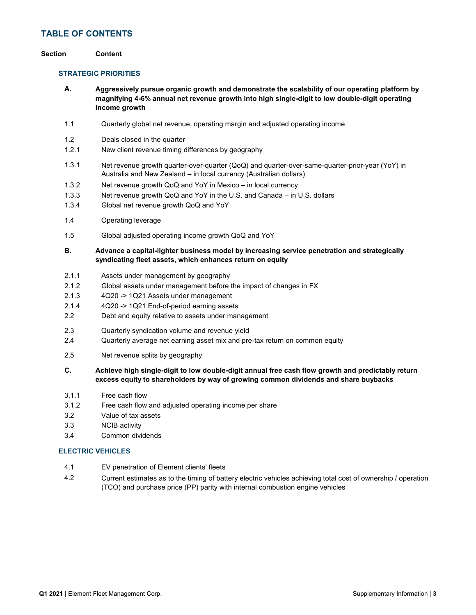### TABLE OF CONTENTS

### Section Content

### STRATEGIC PRIORITIES

A. Aggressively pursue organic growth and demonstrate the scalability of our operating platform by magnifying 4-6% annual net revenue growth into high single-digit to low double-digit operating income growth

- 1.1 Quarterly global net revenue, operating margin and adjusted operating income
- 1.2 Deals closed in the quarter
- 1.2.1 New client revenue timing differences by geography
- 1.3.1 Net revenue growth quarter-over-quarter (QoQ) and quarter-over-same-quarter-prior-year (YoY) in Australia and New Zealand – in local currency (Australian dollars)
- 1.3.2 Net revenue growth QoQ and YoY in Mexico in local currency
- 1.3.3 Net revenue growth QoQ and YoY in the U.S. and Canada in U.S. dollars
- 1.3.4 Global net revenue growth QoQ and YoY
- 1.4 Operating leverage
- 1.5 Global adjusted operating income growth QoQ and YoY

### B. Advance a capital-lighter business model by increasing service penetration and strategically syndicating fleet assets, which enhances return on equity

- 2.1.1 Assets under management by geography
- 2.1.2 Global assets under management before the impact of changes in FX
- 2.1.3 4Q20 -> 1Q21 Assets under management
- 2.1.4 4Q20 -> 1Q21 End-of-period earning assets
- 2.2 Debt and equity relative to assets under management
- 2.3 Quarterly syndication volume and revenue yield
- 2.4 Quarterly average net earning asset mix and pre-tax return on common equity
- 2.5 Net revenue splits by geography
- C. Achieve high single-digit to low double-digit annual free cash flow growth and predictably return excess equity to shareholders by way of growing common dividends and share buybacks
- 3.1.1 Free cash flow
- 3.1.2 Free cash flow and adjusted operating income per share
- 3.2 Value of tax assets
- 3.3 NCIB activity
- 3.4 Common dividends

### ELECTRIC VEHICLES

- 4.1 EV penetration of Element clients' fleets
- 4.2 Current estimates as to the timing of battery electric vehicles achieving total cost of ownership / operation (TCO) and purchase price (PP) parity with internal combustion engine vehicles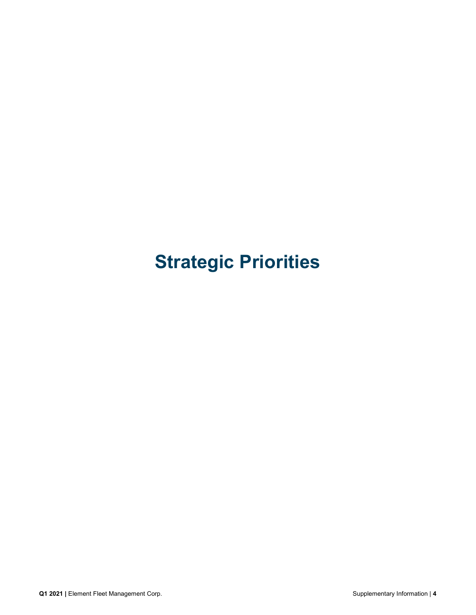# Strategic Priorities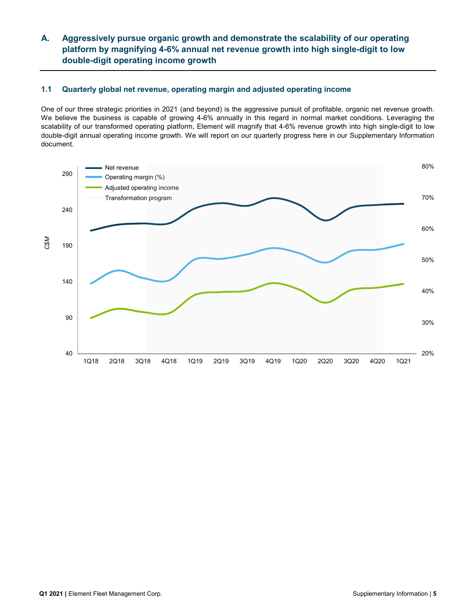### Aggressively pursue organic growth and demonstrate the scalability of our operating platform by magnifying 4-6% annual net revenue growth into high single-digit to low double-digit operating income growth A.

### 1.1 Quarterly global net revenue, operating margin and adjusted operating income

One of our three strategic priorities in 2021 (and beyond) is the aggressive pursuit of profitable, organic net revenue growth. We believe the business is capable of growing 4-6% annually in this regard in normal market conditions. Leveraging the scalability of our transformed operating platform, Element will magnify that 4-6% revenue growth into high single-digit to low double-digit annual operating income growth. We will report on our quarterly progress here in our Supplementary Information document.

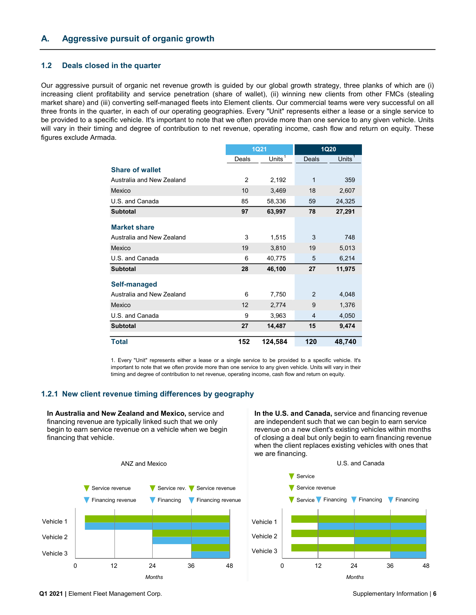### 1.2 Deals closed in the quarter

Our aggressive pursuit of organic net revenue growth is guided by our global growth strategy, three planks of which are (i) increasing client profitability and service penetration (share of wallet), (ii) winning new clients from other FMCs (stealing market share) and (iii) converting self-managed fleets into Element clients. Our commercial teams were very successful on all three fronts in the quarter, in each of our operating geographies. Every "Unit" represents either a lease or a single service to be provided to a specific vehicle. It's important to note that we often provide more than one service to any given vehicle. Units will vary in their timing and degree of contribution to net revenue, operating income, cash flow and return on equity. These figures exclude Armada.

|                         |                                                                                                                                                                                                                                                                                                                                 |       | <b>1Q21</b>                                                                                                                                                                                                                                                                                                                  |       | <b>1Q20</b> |
|-------------------------|---------------------------------------------------------------------------------------------------------------------------------------------------------------------------------------------------------------------------------------------------------------------------------------------------------------------------------|-------|------------------------------------------------------------------------------------------------------------------------------------------------------------------------------------------------------------------------------------------------------------------------------------------------------------------------------|-------|-------------|
|                         |                                                                                                                                                                                                                                                                                                                                 | Deals | Units $1$                                                                                                                                                                                                                                                                                                                    | Deals | Units       |
|                         | <b>Share of wallet</b>                                                                                                                                                                                                                                                                                                          |       |                                                                                                                                                                                                                                                                                                                              |       |             |
|                         | Australia and New Zealand                                                                                                                                                                                                                                                                                                       | 2     | 2,192                                                                                                                                                                                                                                                                                                                        | 1     | 359         |
|                         | Mexico                                                                                                                                                                                                                                                                                                                          | 10    | 3,469                                                                                                                                                                                                                                                                                                                        | 18    | 2,607       |
|                         | U.S. and Canada                                                                                                                                                                                                                                                                                                                 | 85    | 58,336                                                                                                                                                                                                                                                                                                                       | 59    | 24,325      |
|                         | <b>Subtotal</b>                                                                                                                                                                                                                                                                                                                 | 97    | 63,997                                                                                                                                                                                                                                                                                                                       | 78    | 27,291      |
|                         | <b>Market share</b>                                                                                                                                                                                                                                                                                                             |       |                                                                                                                                                                                                                                                                                                                              |       |             |
|                         | Australia and New Zealand                                                                                                                                                                                                                                                                                                       | 3     | 1,515                                                                                                                                                                                                                                                                                                                        | 3     | 748         |
|                         | Mexico                                                                                                                                                                                                                                                                                                                          | 19    | 3,810                                                                                                                                                                                                                                                                                                                        | 19    | 5,013       |
|                         | U.S. and Canada                                                                                                                                                                                                                                                                                                                 | 6     | 40,775                                                                                                                                                                                                                                                                                                                       | 5     | 6,214       |
|                         | <b>Subtotal</b>                                                                                                                                                                                                                                                                                                                 | 28    | 46,100                                                                                                                                                                                                                                                                                                                       | 27    | 11,975      |
|                         | Self-managed                                                                                                                                                                                                                                                                                                                    |       |                                                                                                                                                                                                                                                                                                                              |       |             |
|                         | Australia and New Zealand                                                                                                                                                                                                                                                                                                       | 6     | 7,750                                                                                                                                                                                                                                                                                                                        | 2     | 4,048       |
|                         | Mexico                                                                                                                                                                                                                                                                                                                          | 12    | 2,774                                                                                                                                                                                                                                                                                                                        | 9     | 1,376       |
|                         | U.S. and Canada                                                                                                                                                                                                                                                                                                                 | 9     | 3,963                                                                                                                                                                                                                                                                                                                        | 4     | 4,050       |
|                         | <b>Subtotal</b>                                                                                                                                                                                                                                                                                                                 | 27    | 14,487                                                                                                                                                                                                                                                                                                                       | 15    | 9,474       |
|                         | <b>Total</b>                                                                                                                                                                                                                                                                                                                    | 152   | 124,584                                                                                                                                                                                                                                                                                                                      | 120   | 48,740      |
|                         | 1. Every "Unit" represents either a lease or a single service to be provided to a specific vehicle. It's<br>important to note that we often provide more than one service to any given vehicle. Units will vary in their<br>timing and degree of contribution to net revenue, operating income, cash flow and return on equity. |       |                                                                                                                                                                                                                                                                                                                              |       |             |
|                         | 2.1 New client revenue timing differences by geography                                                                                                                                                                                                                                                                          |       |                                                                                                                                                                                                                                                                                                                              |       |             |
| financing that vehicle. | In Australia and New Zealand and Mexico, service and<br>financing revenue are typically linked such that we only<br>begin to earn service revenue on a vehicle when we begin                                                                                                                                                    |       | In the U.S. and Canada, service and financing revenue<br>are independent such that we can begin to earn service<br>revenue on a new client's existing vehicles within months<br>of closing a deal but only begin to earn financing revenue<br>when the client replaces existing vehicles with ones that<br>we are financing. |       |             |
|                         |                                                                                                                                                                                                                                                                                                                                 |       |                                                                                                                                                                                                                                                                                                                              |       |             |

### 1.2.1 New client revenue timing differences by geography



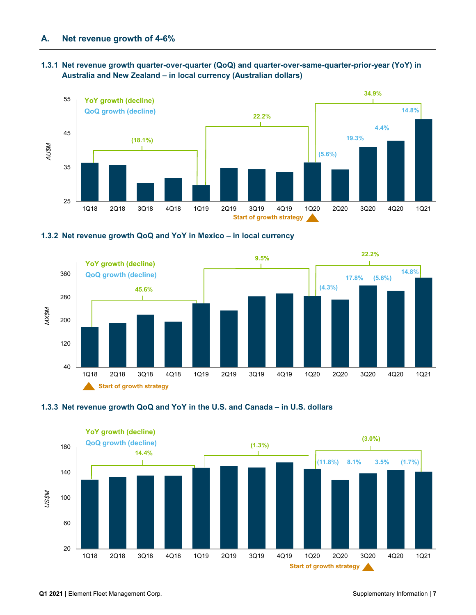### 1.3.1 Net revenue growth quarter-over-quarter (QoQ) and quarter-over-same-quarter-prior-year (YoY) in Australia and New Zealand – in local currency (Australian dollars)









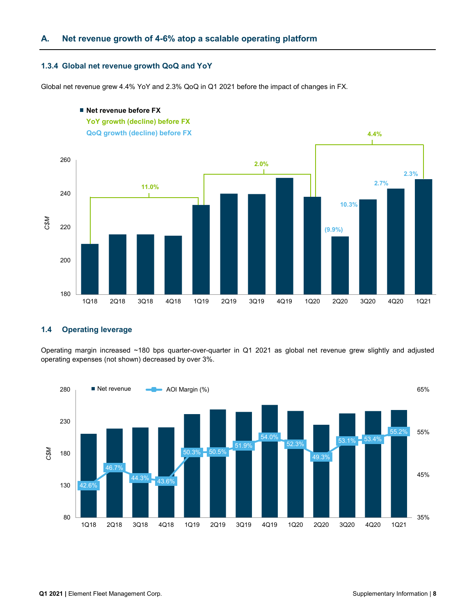### A. Net revenue growth of 4-6% atop a scalable operating platform

### 1.3.4 Global net revenue growth QoQ and YoY

Global net revenue grew 4.4% YoY and 2.3% QoQ in Q1 2021 before the impact of changes in FX.



### ■ Net revenue before FX

### 1.4 Operating leverage

Operating margin increased ~180 bps quarter-over-quarter in Q1 2021 as global net revenue grew slightly and adjusted operating expenses (not shown) decreased by over 3%.

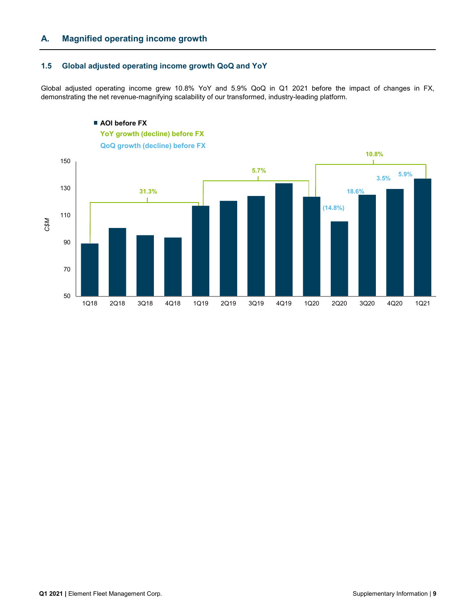## A. Magnified operating income growth

### 1.5 Global adjusted operating income growth QoQ and YoY

Global adjusted operating income grew 10.8% YoY and 5.9% QoQ in Q1 2021 before the impact of changes in FX, demonstrating the net revenue-magnifying scalability of our transformed, industry-leading platform.

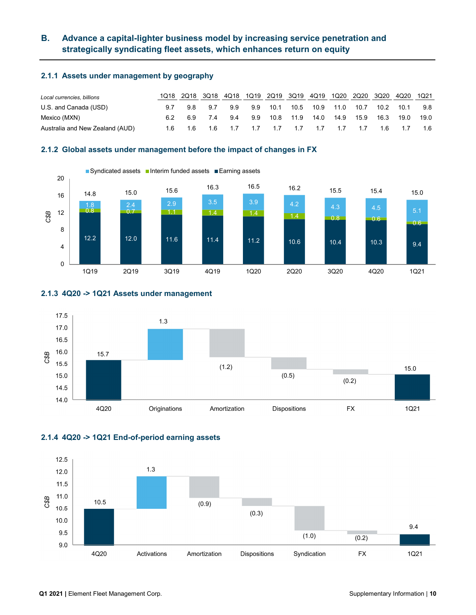### Advance a capital-lighter business model by increasing service penetration and strategically syndicating fleet assets, which enhances return on equity B.

### 2.1.1 Assets under management by geography

| Local currencies, billions      | 1018 |                                                 | 2Q18 3Q18                           | 4Q18 1Q19 2Q19 3Q19 4Q19 1Q20 2Q20 3Q20 4Q20 1Q21 |  |                              |  |      |      |      |      |
|---------------------------------|------|-------------------------------------------------|-------------------------------------|---------------------------------------------------|--|------------------------------|--|------|------|------|------|
| U.S. and Canada (USD)           | 9.7  |                                                 | 9.8 9.7                             | 9.9                                               |  | 9.9 10.1 10.5 10.9 11.0 10.7 |  |      | 10.2 | 10.1 | 9.8  |
| Mexico (MXN)                    |      |                                                 | 6.9 7.4 9.4 9.9 10.8 11.9 14.0 14.9 |                                                   |  |                              |  | 15.9 | 16.3 | 19.0 | 19.0 |
| Australia and New Zealand (AUD) |      | 1.6 1.6 1.6 1.7 1.7 1.7 1.7 1.7 1.7 1.7 1.6 1.7 |                                     |                                                   |  |                              |  |      |      |      | 1.6  |

### 2.1.2 Global assets under management before the impact of changes in FX



### 2.1.3 4Q20 -> 1Q21 Assets under management



### 2.1.4 4Q20 -> 1Q21 End-of-period earning assets

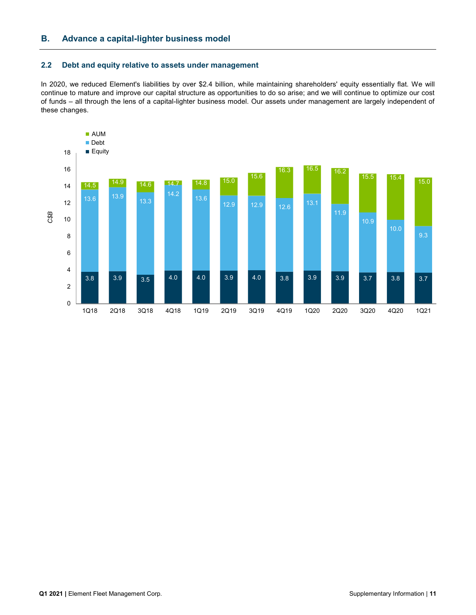### 2.2 Debt and equity relative to assets under management

In 2020, we reduced Element's liabilities by over \$2.4 billion, while maintaining shareholders' equity essentially flat. We will continue to mature and improve our capital structure as opportunities to do so arise; and we will continue to optimize our cost of funds – all through the lens of a capital-lighter business model. Our assets under management are largely independent of these changes.

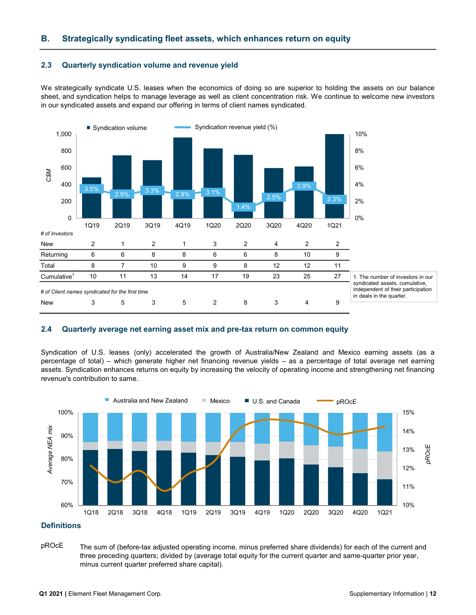### B. Strategically syndicating fleet assets, which enhances return on equity

### 2.3 Quarterly syndication volume and revenue yield

We strategically syndicate U.S. leases when the economics of doing so are superior to holding the assets on our balance sheet, and syndication helps to manage leverage as well as client concentration risk. We continue to welcome new investors in our syndicated assets and expand our offering in terms of client names syndicated.



### 2.4 Quarterly average net earning asset mix and pre-tax return on common equity

Syndication of U.S. leases (only) accelerated the growth of Australia/New Zealand and Mexico earning assets (as a percentage of total) – which generate higher net financing revenue yields – as a percentage of total average net earning assets. Syndication enhances returns on equity by increasing the velocity of operating income and strengthening net financing revenue's contribution to same.



### **Definitions**

pROcE The sum of (before-tax adjusted operating income, minus preferred share dividends) for each of the current and three preceding quarters; divided by (average total equity for the current quarter and same-quarter prior year, minus current quarter preferred share capital).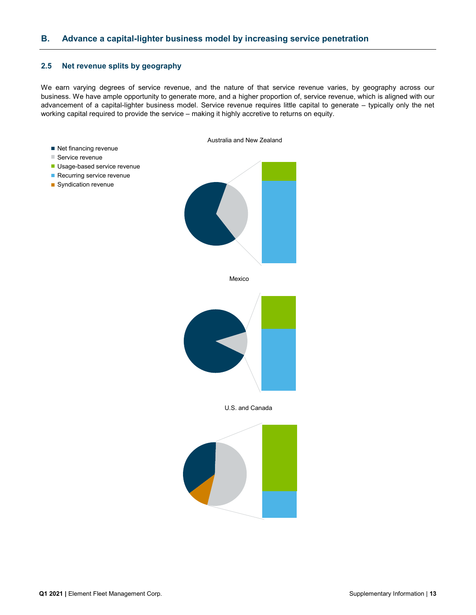### 2.5 Net revenue splits by geography

We earn varying degrees of service revenue, and the nature of that service revenue varies, by geography across our business. We have ample opportunity to generate more, and a higher proportion of, service revenue, which is aligned with our advancement of a capital-lighter business model. Service revenue requires little capital to generate – typically only the net working capital required to provide the service – making it highly accretive to returns on equity.

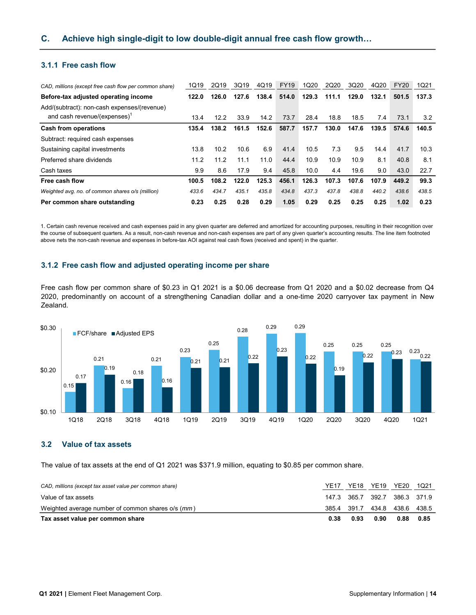### 3.1.1 Free cash flow

| CAD, millions (except free cash flow per common share)                                  | 1Q19  | 2Q19  | 3Q19  | 4Q19  | <b>FY19</b> | 1Q20  | 2Q20  | 3Q20  | 4Q20  | <b>FY20</b> | 1Q21  |
|-----------------------------------------------------------------------------------------|-------|-------|-------|-------|-------------|-------|-------|-------|-------|-------------|-------|
| Before-tax adjusted operating income                                                    | 122.0 | 126.0 | 127.6 | 138.4 | 514.0       | 129.3 | 111.1 | 129.0 | 132.1 | 501.5       | 137.3 |
| Add/(subtract): non-cash expenses/(revenue)<br>and cash revenue/(expenses) <sup>1</sup> | 13.4  | 12.2  | 33.9  | 14.2  | 73.7        | 28.4  | 18.8  | 18.5  | 7.4   | 73.1        | 3.2   |
| <b>Cash from operations</b>                                                             | 135.4 | 138.2 | 161.5 | 152.6 | 587.7       | 157.7 | 130.0 | 147.6 | 139.5 | 574.6       | 140.5 |
| Subtract: required cash expenses                                                        |       |       |       |       |             |       |       |       |       |             |       |
| Sustaining capital investments                                                          | 13.8  | 10.2  | 10.6  | 6.9   | 41.4        | 10.5  | 7.3   | 9.5   | 14.4  | 41.7        | 10.3  |
| Preferred share dividends                                                               | 11.2  | 11.2  | 11.1  | 11.0  | 44.4        | 10.9  | 10.9  | 10.9  | 8.1   | 40.8        | 8.1   |
| Cash taxes                                                                              | 9.9   | 8.6   | 17.9  | 9.4   | 45.8        | 10.0  | 4.4   | 19.6  | 9.0   | 43.0        | 22.7  |
| Free cash flow                                                                          | 100.5 | 108.2 | 122.0 | 125.3 | 456.1       | 126.3 | 107.3 | 107.6 | 107.9 | 449.2       | 99.3  |
| Weighted avg. no. of common shares o/s (million)                                        | 433.6 | 434.7 | 435.1 | 435.8 | 434.8       | 437.3 | 437.8 | 438.8 | 440.2 | 438.6       | 438.5 |
| Per common share outstanding                                                            | 0.23  | 0.25  | 0.28  | 0.29  | 1.05        | 0.29  | 0.25  | 0.25  | 0.25  | 1.02        | 0.23  |

1. Certain cash revenue received and cash expenses paid in any given quarter are deferred and amortized for accounting purposes, resulting in their recognition over the course of subsequent quarters. As a result, non-cash revenue and non-cash expenses are part of any given quarter's accounting results. The line item footnoted above nets the non-cash revenue and expenses in before-tax AOI against real cash flows (received and spent) in the quarter.

### 3.1.2 Free cash flow and adjusted operating income per share

Free cash flow per common share of \$0.23 in Q1 2021 is a \$0.06 decrease from Q1 2020 and a \$0.02 decrease from Q4 2020, predominantly on account of a strengthening Canadian dollar and a one-time 2020 carryover tax payment in New Zealand.



### 3.2 Value of tax assets

The value of tax assets at the end of Q1 2021 was \$371.9 million, equating to \$0.85 per common share.

| CAD, millions (except tax asset value per common share) | YF17  | <b>YE18</b>                   | YE19 | <b>YE20</b>       | 1021 |
|---------------------------------------------------------|-------|-------------------------------|------|-------------------|------|
| Value of tax assets                                     |       | 147.3 365.7 392.7 386.3 371.9 |      |                   |      |
| Weighted average number of common shares o/s (mm)       | 385.4 | 391.7                         |      | 434.8 438.6 438.5 |      |
| Tax asset value per common share                        | 0.38  | 0.93                          | 0.90 | 0.88              | 0.85 |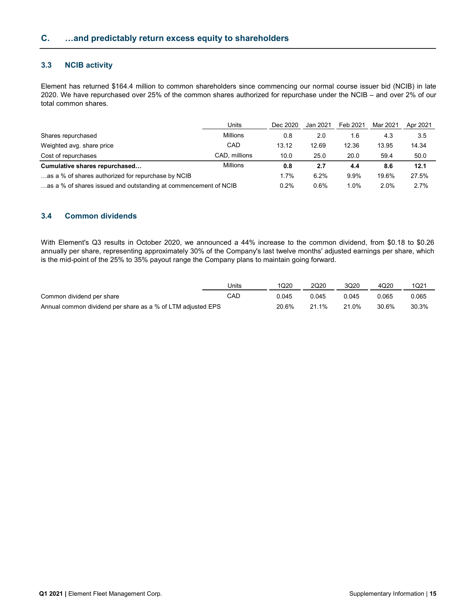### 3.3 NCIB activity

Element has returned \$164.4 million to common shareholders since commencing our normal course issuer bid (NCIB) in late 2020. We have repurchased over 25% of the common shares authorized for repurchase under the NCIB – and over 2% of our total common shares.

|                                                                 | Units           | Dec 2020 | Jan 2021 | Feb 2021 | Mar 2021 | Apr 2021 |
|-----------------------------------------------------------------|-----------------|----------|----------|----------|----------|----------|
| Shares repurchased                                              | <b>Millions</b> | 0.8      | 2.0      | 1.6      | 4.3      | 3.5      |
| Weighted avg. share price                                       | CAD             | 13.12    | 12.69    | 12.36    | 13.95    | 14.34    |
| Cost of repurchases                                             | CAD, millions   | 10.0     | 25.0     | 20.0     | 59.4     | 50.0     |
| Cumulative shares repurchased                                   | <b>Millions</b> | 0.8      | 2.7      | 4.4      | 8.6      | 12.1     |
| as a % of shares authorized for repurchase by NCIB              |                 |          | 6.2%     | 9.9%     | 19.6%    | 27.5%    |
| as a % of shares issued and outstanding at commencement of NCIB |                 |          | 0.6%     | $1.0\%$  | 2.0%     | 2.7%     |

### 3.4 Common dividends

With Element's Q3 results in October 2020, we announced a 44% increase to the common dividend, from \$0.18 to \$0.26 annually per share, representing approximately 30% of the Company's last twelve months' adjusted earnings per share, which is the mid-point of the 25% to 35% payout range the Company plans to maintain going forward.

|                                                             | Units | 1020  | 2Q20  | 3Q20  | 4Q20  | 1Q21  |
|-------------------------------------------------------------|-------|-------|-------|-------|-------|-------|
| Common dividend per share                                   | CAD   | 0.045 | 0.045 | 0.045 | 0.065 | 0.065 |
| Annual common dividend per share as a % of LTM adjusted EPS |       | 20.6% | 21 1% | 21.0% | 30.6% | 30.3% |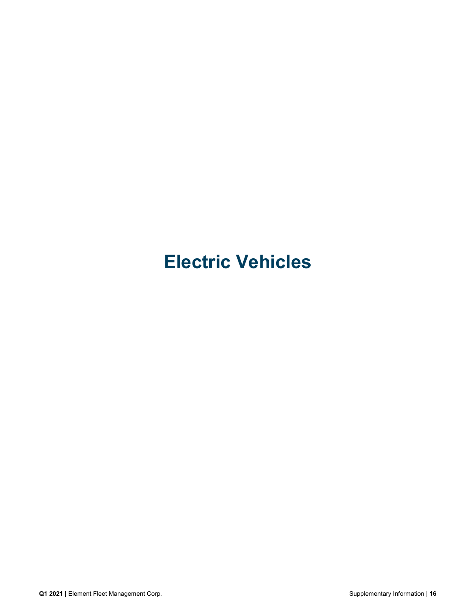# Electric Vehicles